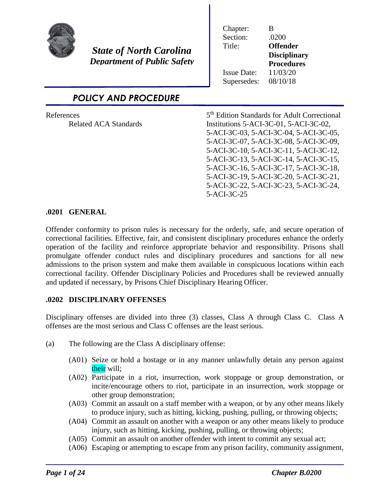

*State of North Carolina Department of Public Safety*

| Chapter:           | R                   |
|--------------------|---------------------|
| Section:           | .0200               |
| Title:             | <b>Offender</b>     |
|                    | <b>Disciplinary</b> |
|                    | <b>Procedures</b>   |
| <b>Issue Date:</b> | 11/03/20            |
| Supersedes:        | 08/10/18            |

*POLICY AND PROCEDURE*

**References** 

5<sup>th</sup> Edition Standards for Adult Correctional Related ACA Standards Institutions 5-ACI-3C-01, 5-ACI-3C-02, 5-ACI-3C-03, 5-ACI-3C-04, 5-ACI-3C-05, 5-ACI-3C-07, 5-ACI-3C-08, 5-ACI-3C-09, 5-ACI-3C-10, 5-ACI-3C-11, 5-ACI-3C-12, 5-ACI-3C-13, 5-ACI-3C-14, 5-ACI-3C-15, 5-ACI-3C-16, 5-ACI-3C-17, 5-ACI-3C-18, 5-ACI-3C-19, 5-ACI-3C-20, 5-ACI-3C-21, 5-ACI-3C-22, 5-ACI-3C-23, 5-ACI-3C-24, 5-ACI-3C-25

### **.0201 GENERAL**

Offender conformity to prison rules is necessary for the orderly, safe, and secure operation of correctional facilities. Effective, fair, and consistent disciplinary procedures enhance the orderly operation of the facility and reinforce appropriate behavior and responsibility. Prisons shall promulgate offender conduct rules and disciplinary procedures and sanctions for all new admissions to the prison system and make them available in conspicuous locations within each correctional facility. Offender Disciplinary Policies and Procedures shall be reviewed annually and updated if necessary, by Prisons Chief Disciplinary Hearing Officer.

#### **.0202 DISCIPLINARY OFFENSES**

Disciplinary offenses are divided into three (3) classes, Class A through Class C. Class A offenses are the most serious and Class C offenses are the least serious.

- (a) The following are the Class A disciplinary offense:
	- (A01) Seize or hold a hostage or in any manner unlawfully detain any person against their will;
	- (A02) Participate in a riot, insurrection, work stoppage or group demonstration, or incite/encourage others to riot, participate in an insurrection, work stoppage or other group demonstration;
	- (A03) Commit an assault on a staff member with a weapon, or by any other means likely to produce injury, such as hitting, kicking, pushing, pulling, or throwing objects;
	- (A04) Commit an assault on another with a weapon or any other means likely to produce injury, such as hitting, kicking, pushing, pulling, or throwing objects;
	- (A05) Commit an assault on another offender with intent to commit any sexual act;
	- (A06) Escaping or attempting to escape from any prison facility, community assignment,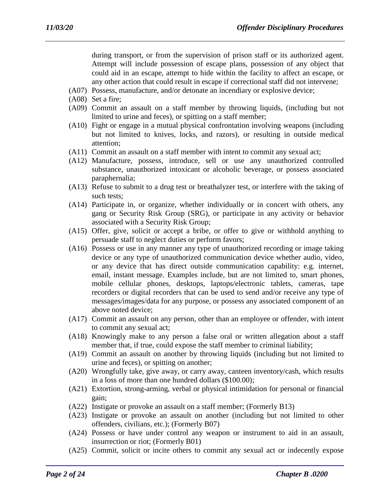during transport, or from the supervision of prison staff or its authorized agent. Attempt will include possession of escape plans, possession of any object that could aid in an escape, attempt to hide within the facility to affect an escape, or any other action that could result in escape if correctional staff did not intervene;

- (A07) Possess, manufacture, and/or detonate an incendiary or explosive device;
- (A08) Set a fire;
- (A09) Commit an assault on a staff member by throwing liquids, (including but not limited to urine and feces), or spitting on a staff member;
- (A10) Fight or engage in a mutual physical confrontation involving weapons (including but not limited to knives, locks, and razors), or resulting in outside medical attention;
- (A11) Commit an assault on a staff member with intent to commit any sexual act;
- (A12) Manufacture, possess, introduce, sell or use any unauthorized controlled substance, unauthorized intoxicant or alcoholic beverage, or possess associated paraphernalia;
- (A13) Refuse to submit to a drug test or breathalyzer test, or interfere with the taking of such tests;
- (A14) Participate in, or organize, whether individually or in concert with others, any gang or Security Risk Group (SRG), or participate in any activity or behavior associated with a Security Risk Group;
- (A15) Offer, give, solicit or accept a bribe, or offer to give or withhold anything to persuade staff to neglect duties or perform favors;
- (A16) Possess or use in any manner any type of unauthorized recording or image taking device or any type of unauthorized communication device whether audio, video, or any device that has direct outside communication capability: e.g. internet, email, instant message. Examples include, but are not limited to, smart phones, mobile cellular phones, desktops, laptops/electronic tablets, cameras, tape recorders or digital recorders that can be used to send and/or receive any type of messages/images/data for any purpose, or possess any associated component of an above noted device;
- (A17) Commit an assault on any person, other than an employee or offender, with intent to commit any sexual act;
- (A18) Knowingly make to any person a false oral or written allegation about a staff member that, if true, could expose the staff member to criminal liability;
- (A19) Commit an assault on another by throwing liquids (including but not limited to urine and feces), or spitting on another;
- (A20) Wrongfully take, give away, or carry away, canteen inventory/cash, which results in a loss of more than one hundred dollars (\$100.00);
- (A21) Extortion, strong-arming, verbal or physical intimidation for personal or financial gain;
- (A22) Instigate or provoke an assault on a staff member; (Formerly B13)
- (A23) Instigate or provoke an assault on another (including but not limited to other offenders, civilians, etc.); (Formerly B07)
- (A24) Possess or have under control any weapon or instrument to aid in an assault, insurrection or riot; (Formerly B01)
- (A25) Commit, solicit or incite others to commit any sexual act or indecently expose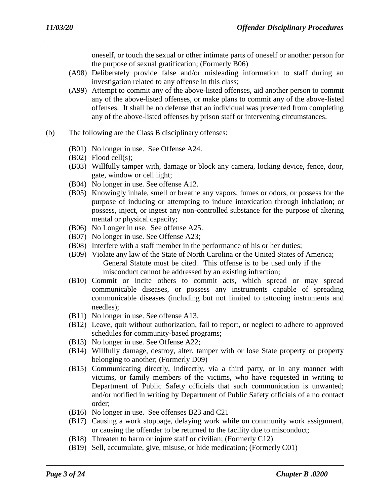oneself, or touch the sexual or other intimate parts of oneself or another person for the purpose of sexual gratification; (Formerly B06)

- (A98) Deliberately provide false and/or misleading information to staff during an investigation related to any offense in this class;
- (A99) Attempt to commit any of the above-listed offenses, aid another person to commit any of the above-listed offenses, or make plans to commit any of the above-listed offenses. It shall be no defense that an individual was prevented from completing any of the above-listed offenses by prison staff or intervening circumstances.
- (b) The following are the Class B disciplinary offenses:
	- (B01) No longer in use. See Offense A24.
	- (B02) Flood cell(s);
	- (B03) Willfully tamper with, damage or block any camera, locking device, fence, door, gate, window or cell light;
	- (B04) No longer in use. See offense A12.
	- (B05) Knowingly inhale, smell or breathe any vapors, fumes or odors, or possess for the purpose of inducing or attempting to induce intoxication through inhalation; or possess, inject, or ingest any non-controlled substance for the purpose of altering mental or physical capacity;
	- (B06) No Longer in use. See offense A25.
	- (B07) No longer in use. See Offense A23;
	- (B08) Interfere with a staff member in the performance of his or her duties;
	- (B09) Violate any law of the State of North Carolina or the United States of America; General Statute must be cited. This offense is to be used only if the misconduct cannot be addressed by an existing infraction;
	- (B10) Commit or incite others to commit acts, which spread or may spread communicable diseases, or possess any instruments capable of spreading communicable diseases (including but not limited to tattooing instruments and needles);
	- (B11) No longer in use. See offense A13.
	- (B12) Leave, quit without authorization, fail to report, or neglect to adhere to approved schedules for community-based programs;
	- (B13) No longer in use. See Offense A22;
	- (B14) Willfully damage, destroy, alter, tamper with or lose State property or property belonging to another; (Formerly D09)
	- (B15) Communicating directly, indirectly, via a third party, or in any manner with victims, or family members of the victims, who have requested in writing to Department of Public Safety officials that such communication is unwanted; and/or notified in writing by Department of Public Safety officials of a no contact order;
	- (B16) No longer in use. See offenses B23 and C21
	- (B17) Causing a work stoppage, delaying work while on community work assignment, or causing the offender to be returned to the facility due to misconduct;
	- (B18) Threaten to harm or injure staff or civilian; (Formerly C12)
	- (B19) Sell, accumulate, give, misuse, or hide medication; (Formerly C01)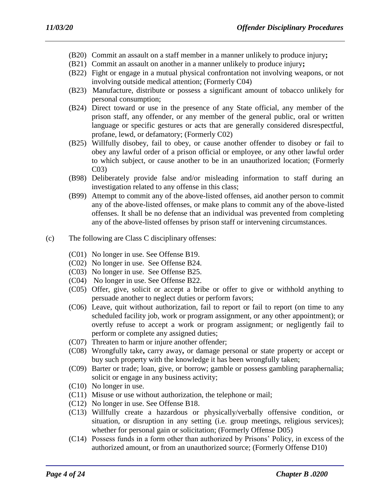- (B20) Commit an assault on a staff member in a manner unlikely to produce injury**;**
- (B21) Commit an assault on another in a manner unlikely to produce injury**;**
- (B22) Fight or engage in a mutual physical confrontation not involving weapons, or not involving outside medical attention; (Formerly C04)
- (B23) Manufacture, distribute or possess a significant amount of tobacco unlikely for personal consumption;
- (B24) Direct toward or use in the presence of any State official, any member of the prison staff, any offender, or any member of the general public, oral or written language or specific gestures or acts that are generally considered disrespectful, profane, lewd, or defamatory; (Formerly C02)
- (B25) Willfully disobey, fail to obey, or cause another offender to disobey or fail to obey any lawful order of a prison official or employee, or any other lawful order to which subject, or cause another to be in an unauthorized location; (Formerly C03)
- (B98) Deliberately provide false and/or misleading information to staff during an investigation related to any offense in this class;
- (B99) Attempt to commit any of the above-listed offenses, aid another person to commit any of the above-listed offenses, or make plans to commit any of the above-listed offenses. It shall be no defense that an individual was prevented from completing any of the above-listed offenses by prison staff or intervening circumstances.
- (c) The following are Class C disciplinary offenses:
	- (C01) No longer in use. See Offense B19.
	- (C02) No longer in use. See Offense B24.
	- (C03) No longer in use. See Offense B25.
	- (C04) No longer in use. See Offense B22.
	- (C05) Offer, give, solicit or accept a bribe or offer to give or withhold anything to persuade another to neglect duties or perform favors;
	- (C06) Leave, quit without authorization, fail to report or fail to report (on time to any scheduled facility job, work or program assignment, or any other appointment); or overtly refuse to accept a work or program assignment; or negligently fail to perform or complete any assigned duties;
	- (C07) Threaten to harm or injure another offender;
	- (C08) Wrongfully take**,** carry away**,** or damage personal or state property or accept or buy such property with the knowledge it has been wrongfully taken;
	- (C09) Barter or trade; loan, give, or borrow; gamble or possess gambling paraphernalia; solicit or engage in any business activity;
	- (C10) No longer in use.
	- (C11) Misuse or use without authorization, the telephone or mail;
	- (C12) No longer in use. See Offense B18.
	- (C13) Willfully create a hazardous or physically/verbally offensive condition, or situation, or disruption in any setting (i.e. group meetings, religious services); whether for personal gain or solicitation; (Formerly Offense D05)
	- (C14) Possess funds in a form other than authorized by Prisons' Policy, in excess of the authorized amount, or from an unauthorized source; (Formerly Offense D10)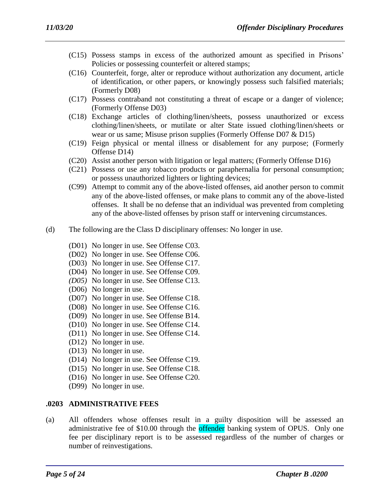- (C15) Possess stamps in excess of the authorized amount as specified in Prisons' Policies or possessing counterfeit or altered stamps;
- (C16) Counterfeit, forge, alter or reproduce without authorization any document, article of identification, or other papers, or knowingly possess such falsified materials; (Formerly D08)
- (C17) Possess contraband not constituting a threat of escape or a danger of violence; (Formerly Offense D03)
- (C18) Exchange articles of clothing/linen/sheets, possess unauthorized or excess clothing/linen/sheets, or mutilate or alter State issued clothing/linen/sheets or wear or us same; Misuse prison supplies (Formerly Offense D07 & D15)
- (C19) Feign physical or mental illness or disablement for any purpose; (Formerly Offense D14)
- (C20) Assist another person with litigation or legal matters; (Formerly Offense D16)
- (C21) Possess or use any tobacco products or paraphernalia for personal consumption; or possess unauthorized lighters or lighting devices;
- (C99) Attempt to commit any of the above-listed offenses, aid another person to commit any of the above-listed offenses, or make plans to commit any of the above-listed offenses. It shall be no defense that an individual was prevented from completing any of the above-listed offenses by prison staff or intervening circumstances.
- (d) The following are the Class D disciplinary offenses: No longer in use.
	- (D01) No longer in use. See Offense C03.
	- (D02) No longer in use. See Offense C06.
	- (D03) No longer in use. See Offense C17.
	- (D04) No longer in use. See Offense C09.
	- *(D05)* No longer in use. See Offense C13.
	- (D06) No longer in use.
	- (D07) No longer in use. See Offense C18.
	- (D08) No longer in use. See Offense C16.
	- (D09) No longer in use. See Offense B14.
	- (D10) No longer in use. See Offense C14.
	- (D11) No longer in use. See Offense C14.
	- (D12) No longer in use.
	- (D13) No longer in use.
	- (D14) No longer in use. See Offense C19.
	- (D15) No longer in use. See Offense C18.
	- (D16) No longer in use. See Offense C20.
	- (D99) No longer in use.

#### **.0203 ADMINISTRATIVE FEES**

(a) All offenders whose offenses result in a guilty disposition will be assessed an administrative fee of \$10.00 through the offender banking system of OPUS. Only one fee per disciplinary report is to be assessed regardless of the number of charges or number of reinvestigations.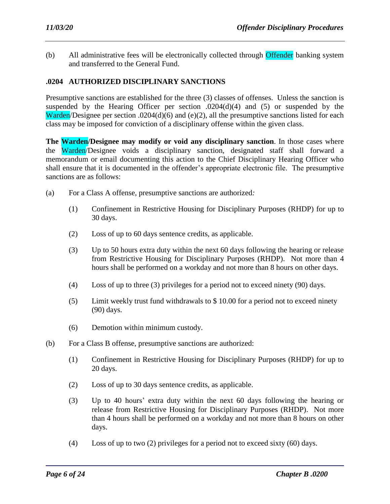(b) All administrative fees will be electronically collected through Offender banking system and transferred to the General Fund.

# **.0204 AUTHORIZED DISCIPLINARY SANCTIONS**

Presumptive sanctions are established for the three (3) classes of offenses. Unless the sanction is suspended by the Hearing Officer per section .0204(d)(4) and (5) or suspended by the Warden/Designee per section .0204(d)(6) and (e)(2), all the presumptive sanctions listed for each class may be imposed for conviction of a disciplinary offense within the given class.

**The Warden/Designee may modify or void any disciplinary sanction**. In those cases where the Warden/Designee voids a disciplinary sanction, designated staff shall forward a memorandum or email documenting this action to the Chief Disciplinary Hearing Officer who shall ensure that it is documented in the offender's appropriate electronic file. The presumptive sanctions are as follows:

- (a) For a Class A offense, presumptive sanctions are authorized*:*
	- (1) Confinement in Restrictive Housing for Disciplinary Purposes (RHDP) for up to 30 days.
	- (2) Loss of up to 60 days sentence credits, as applicable.
	- (3) Up to 50 hours extra duty within the next 60 days following the hearing or release from Restrictive Housing for Disciplinary Purposes (RHDP). Not more than 4 hours shall be performed on a workday and not more than 8 hours on other days.
	- (4) Loss of up to three (3) privileges for a period not to exceed ninety (90) days.
	- (5) Limit weekly trust fund withdrawals to \$ 10.00 for a period not to exceed ninety (90) days.
	- (6) Demotion within minimum custody.
- (b) For a Class B offense, presumptive sanctions are authorized:
	- (1) Confinement in Restrictive Housing for Disciplinary Purposes (RHDP) for up to 20 days.
	- (2) Loss of up to 30 days sentence credits, as applicable.
	- (3) Up to 40 hours' extra duty within the next 60 days following the hearing or release from Restrictive Housing for Disciplinary Purposes (RHDP). Not more than 4 hours shall be performed on a workday and not more than 8 hours on other days.
	- (4) Loss of up to two (2) privileges for a period not to exceed sixty (60) days.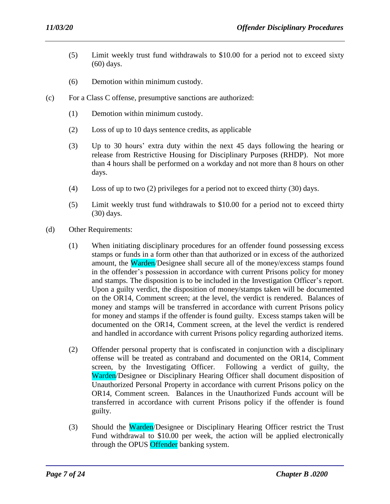- (5) Limit weekly trust fund withdrawals to \$10.00 for a period not to exceed sixty (60) days.
- (6) Demotion within minimum custody.
- (c) For a Class C offense, presumptive sanctions are authorized:
	- (1) Demotion within minimum custody.
	- (2) Loss of up to 10 days sentence credits, as applicable
	- (3) Up to 30 hours' extra duty within the next 45 days following the hearing or release from Restrictive Housing for Disciplinary Purposes (RHDP). Not more than 4 hours shall be performed on a workday and not more than 8 hours on other days.
	- (4) Loss of up to two (2) privileges for a period not to exceed thirty (30) days.
	- (5) Limit weekly trust fund withdrawals to \$10.00 for a period not to exceed thirty (30) days.
- (d) Other Requirements:
	- (1) When initiating disciplinary procedures for an offender found possessing excess stamps or funds in a form other than that authorized or in excess of the authorized amount, the Warden/Designee shall secure all of the money/excess stamps found in the offender's possession in accordance with current Prisons policy for money and stamps. The disposition is to be included in the Investigation Officer's report. Upon a guilty verdict, the disposition of money/stamps taken will be documented on the OR14, Comment screen; at the level, the verdict is rendered. Balances of money and stamps will be transferred in accordance with current Prisons policy for money and stamps if the offender is found guilty. Excess stamps taken will be documented on the OR14, Comment screen, at the level the verdict is rendered and handled in accordance with current Prisons policy regarding authorized items.
	- (2) Offender personal property that is confiscated in conjunction with a disciplinary offense will be treated as contraband and documented on the OR14, Comment screen, by the Investigating Officer. Following a verdict of guilty, the Warden/Designee or Disciplinary Hearing Officer shall document disposition of Unauthorized Personal Property in accordance with current Prisons policy on the OR14, Comment screen. Balances in the Unauthorized Funds account will be transferred in accordance with current Prisons policy if the offender is found guilty.
	- (3) Should the Warden/Designee or Disciplinary Hearing Officer restrict the Trust Fund withdrawal to \$10.00 per week, the action will be applied electronically through the OPUS Offender banking system.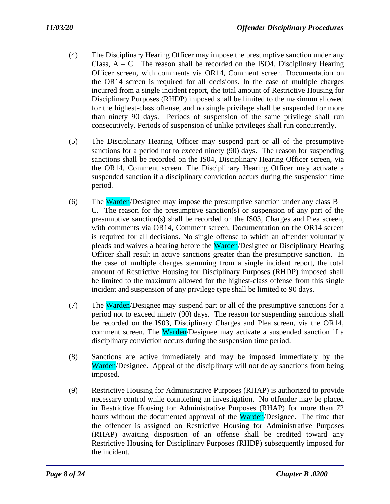- (4) The Disciplinary Hearing Officer may impose the presumptive sanction under any Class,  $A - C$ . The reason shall be recorded on the ISO4, Disciplinary Hearing Officer screen, with comments via OR14, Comment screen. Documentation on the OR14 screen is required for all decisions. In the case of multiple charges incurred from a single incident report, the total amount of Restrictive Housing for Disciplinary Purposes (RHDP) imposed shall be limited to the maximum allowed for the highest-class offense, and no single privilege shall be suspended for more than ninety 90 days. Periods of suspension of the same privilege shall run consecutively. Periods of suspension of unlike privileges shall run concurrently.
- (5) The Disciplinary Hearing Officer may suspend part or all of the presumptive sanctions for a period not to exceed ninety (90) days. The reason for suspending sanctions shall be recorded on the IS04, Disciplinary Hearing Officer screen, via the OR14, Comment screen. The Disciplinary Hearing Officer may activate a suspended sanction if a disciplinary conviction occurs during the suspension time period.
- (6) The Warden/Designee may impose the presumptive sanction under any class  $B -$ C. The reason for the presumptive sanction(s) or suspension of any part of the presumptive sanction(s) shall be recorded on the IS03, Charges and Plea screen, with comments via OR14, Comment screen. Documentation on the OR14 screen is required for all decisions. No single offense to which an offender voluntarily pleads and waives a hearing before the Warden/Designee or Disciplinary Hearing Officer shall result in active sanctions greater than the presumptive sanction. In the case of multiple charges stemming from a single incident report, the total amount of Restrictive Housing for Disciplinary Purposes (RHDP) imposed shall be limited to the maximum allowed for the highest-class offense from this single incident and suspension of any privilege type shall be limited to 90 days.
- (7) The Warden/Designee may suspend part or all of the presumptive sanctions for a period not to exceed ninety (90) days. The reason for suspending sanctions shall be recorded on the IS03, Disciplinary Charges and Plea screen, via the OR14, comment screen. The Warden/Designee may activate a suspended sanction if a disciplinary conviction occurs during the suspension time period.
- (8) Sanctions are active immediately and may be imposed immediately by the Warden/Designee. Appeal of the disciplinary will not delay sanctions from being imposed.
- (9) Restrictive Housing for Administrative Purposes (RHAP) is authorized to provide necessary control while completing an investigation. No offender may be placed in Restrictive Housing for Administrative Purposes (RHAP) for more than 72 hours without the documented approval of the Warden/Designee. The time that the offender is assigned on Restrictive Housing for Administrative Purposes (RHAP) awaiting disposition of an offense shall be credited toward any Restrictive Housing for Disciplinary Purposes (RHDP) subsequently imposed for the incident.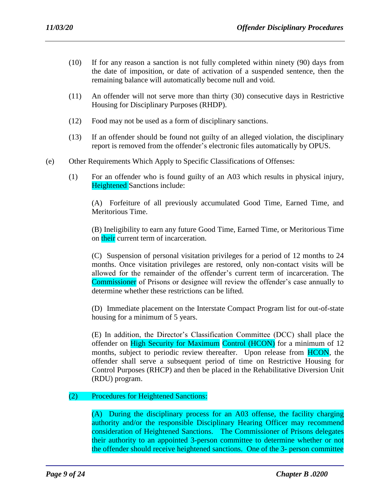- (10) If for any reason a sanction is not fully completed within ninety (90) days from the date of imposition, or date of activation of a suspended sentence, then the remaining balance will automatically become null and void.
- (11) An offender will not serve more than thirty (30) consecutive days in Restrictive Housing for Disciplinary Purposes (RHDP).
- (12) Food may not be used as a form of disciplinary sanctions.
- (13) If an offender should be found not guilty of an alleged violation, the disciplinary report is removed from the offender's electronic files automatically by OPUS.
- (e) Other Requirements Which Apply to Specific Classifications of Offenses:
	- (1) For an offender who is found guilty of an A03 which results in physical injury, Heightened Sanctions include:

(A) Forfeiture of all previously accumulated Good Time, Earned Time, and Meritorious Time.

(B) Ineligibility to earn any future Good Time, Earned Time, or Meritorious Time on their current term of incarceration.

(C) Suspension of personal visitation privileges for a period of 12 months to 24 months. Once visitation privileges are restored, only non-contact visits will be allowed for the remainder of the offender's current term of incarceration. The Commissioner of Prisons or designee will review the offender's case annually to determine whether these restrictions can be lifted.

(D) Immediate placement on the Interstate Compact Program list for out-of-state housing for a minimum of 5 years.

(E) In addition, the Director's Classification Committee (DCC) shall place the offender on High Security for Maximum Control (HCON) for a minimum of 12 months, subject to periodic review thereafter. Upon release from HCON, the offender shall serve a subsequent period of time on Restrictive Housing for Control Purposes (RHCP) and then be placed in the Rehabilitative Diversion Unit (RDU) program.

## (2) Procedures for Heightened Sanctions:

(A) During the disciplinary process for an A03 offense, the facility charging authority and/or the responsible Disciplinary Hearing Officer may recommend consideration of Heightened Sanctions. The Commissioner of Prisons delegates their authority to an appointed 3-person committee to determine whether or not the offender should receive heightened sanctions. One of the 3- person committee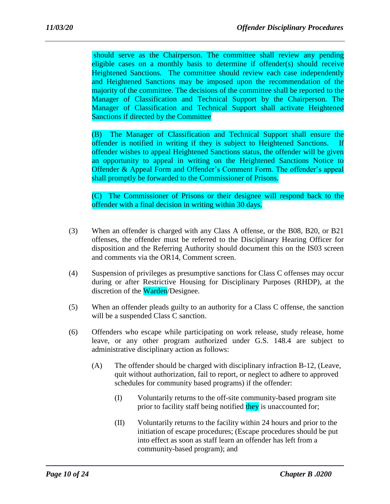should serve as the Chairperson. The committee shall review any pending eligible cases on a monthly basis to determine if offender(s) should receive Heightened Sanctions. The committee should review each case independently and Heightened Sanctions may be imposed upon the recommendation of the majority of the committee. The decisions of the committee shall be reported to the Manager of Classification and Technical Support by the Chairperson. The Manager of Classification and Technical Support shall activate Heightened Sanctions if directed by the Committee

(B) The Manager of Classification and Technical Support shall ensure the offender is notified in writing if they is subject to Heightened Sanctions. offender wishes to appeal Heightened Sanctions status, the offender will be given an opportunity to appeal in writing on the Heightened Sanctions Notice to Offender & Appeal Form and Offender's Comment Form. The offender's appeal shall promptly be forwarded to the Commissioner of Prisons.

(C) The Commissioner of Prisons or their designee will respond back to the offender with a final decision in writing within 30 days.

- (3) When an offender is charged with any Class A offense, or the B08, B20, or B21 offenses, the offender must be referred to the Disciplinary Hearing Officer for disposition and the Referring Authority should document this on the IS03 screen and comments via the OR14, Comment screen.
- (4) Suspension of privileges as presumptive sanctions for Class C offenses may occur during or after Restrictive Housing for Disciplinary Purposes (RHDP), at the discretion of the Warden/Designee.
- (5) When an offender pleads guilty to an authority for a Class C offense, the sanction will be a suspended Class C sanction.
- (6) Offenders who escape while participating on work release, study release, home leave, or any other program authorized under G.S. 148.4 are subject to administrative disciplinary action as follows:
	- (A) The offender should be charged with disciplinary infraction B-12, (Leave, quit without authorization, fail to report, or neglect to adhere to approved schedules for community based programs) if the offender:
		- (I) Voluntarily returns to the off-site community-based program site prior to facility staff being notified they is unaccounted for;
		- (II) Voluntarily returns to the facility within 24 hours and prior to the initiation of escape procedures; (Escape procedures should be put into effect as soon as staff learn an offender has left from a community-based program); and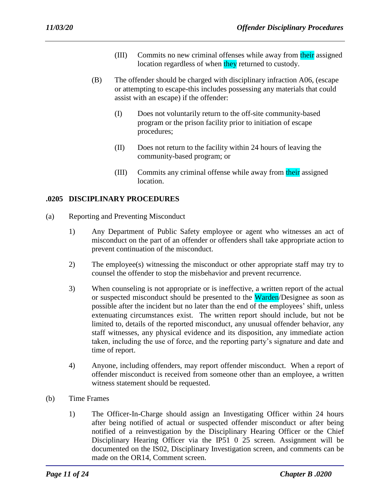- (III) Commits no new criminal offenses while away from their assigned location regardless of when they returned to custody.
- (B) The offender should be charged with disciplinary infraction A06, (escape or attempting to escape-this includes possessing any materials that could assist with an escape) if the offender:
	- (I) Does not voluntarily return to the off-site community-based program or the prison facility prior to initiation of escape procedures;
	- (II) Does not return to the facility within 24 hours of leaving the community-based program; or
	- (III) Commits any criminal offense while away from their assigned location.

### **.0205 DISCIPLINARY PROCEDURES**

- (a) Reporting and Preventing Misconduct
	- 1) Any Department of Public Safety employee or agent who witnesses an act of misconduct on the part of an offender or offenders shall take appropriate action to prevent continuation of the misconduct.
	- 2) The employee(s) witnessing the misconduct or other appropriate staff may try to counsel the offender to stop the misbehavior and prevent recurrence.
	- 3) When counseling is not appropriate or is ineffective, a written report of the actual or suspected misconduct should be presented to the Warden/Designee as soon as possible after the incident but no later than the end of the employees' shift, unless extenuating circumstances exist. The written report should include, but not be limited to, details of the reported misconduct, any unusual offender behavior, any staff witnesses, any physical evidence and its disposition, any immediate action taken, including the use of force, and the reporting party's signature and date and time of report.
	- 4) Anyone, including offenders, may report offender misconduct. When a report of offender misconduct is received from someone other than an employee, a written witness statement should be requested.
- (b) Time Frames
	- 1) The Officer-In-Charge should assign an Investigating Officer within 24 hours after being notified of actual or suspected offender misconduct or after being notified of a reinvestigation by the Disciplinary Hearing Officer or the Chief Disciplinary Hearing Officer via the IP51 0 25 screen. Assignment will be documented on the IS02, Disciplinary Investigation screen, and comments can be made on the OR14, Comment screen.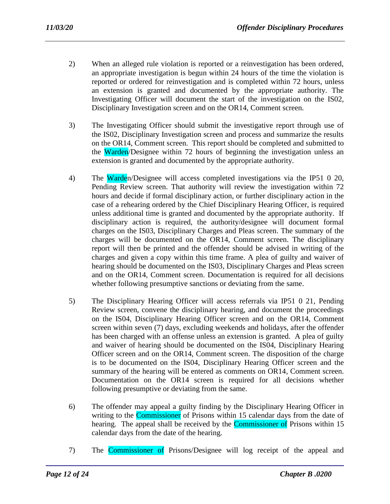- 2) When an alleged rule violation is reported or a reinvestigation has been ordered, an appropriate investigation is begun within 24 hours of the time the violation is reported or ordered for reinvestigation and is completed within 72 hours, unless an extension is granted and documented by the appropriate authority. The Investigating Officer will document the start of the investigation on the IS02, Disciplinary Investigation screen and on the OR14, Comment screen.
- 3) The Investigating Officer should submit the investigative report through use of the IS02, Disciplinary Investigation screen and process and summarize the results on the OR14, Comment screen. This report should be completed and submitted to the Warden/Designee within 72 hours of beginning the investigation unless an extension is granted and documented by the appropriate authority.
- 4) The Warden/Designee will access completed investigations via the IP51 0 20, Pending Review screen. That authority will review the investigation within 72 hours and decide if formal disciplinary action, or further disciplinary action in the case of a rehearing ordered by the Chief Disciplinary Hearing Officer, is required unless additional time is granted and documented by the appropriate authority. If disciplinary action is required, the authority/designee will document formal charges on the IS03, Disciplinary Charges and Pleas screen. The summary of the charges will be documented on the OR14, Comment screen. The disciplinary report will then be printed and the offender should be advised in writing of the charges and given a copy within this time frame. A plea of guilty and waiver of hearing should be documented on the IS03, Disciplinary Charges and Pleas screen and on the OR14, Comment screen. Documentation is required for all decisions whether following presumptive sanctions or deviating from the same.
- 5) The Disciplinary Hearing Officer will access referrals via IP51 0 21, Pending Review screen, convene the disciplinary hearing, and document the proceedings on the IS04, Disciplinary Hearing Officer screen and on the OR14, Comment screen within seven (7) days, excluding weekends and holidays, after the offender has been charged with an offense unless an extension is granted. A plea of guilty and waiver of hearing should be documented on the IS04, Disciplinary Hearing Officer screen and on the OR14, Comment screen. The disposition of the charge is to be documented on the IS04, Disciplinary Hearing Officer screen and the summary of the hearing will be entered as comments on OR14, Comment screen. Documentation on the OR14 screen is required for all decisions whether following presumptive or deviating from the same.
- 6) The offender may appeal a guilty finding by the Disciplinary Hearing Officer in writing to the **Commissioner** of Prisons within 15 calendar days from the date of hearing. The appeal shall be received by the **Commissioner of** Prisons within 15 calendar days from the date of the hearing.
- 7) The Commissioner of Prisons/Designee will log receipt of the appeal and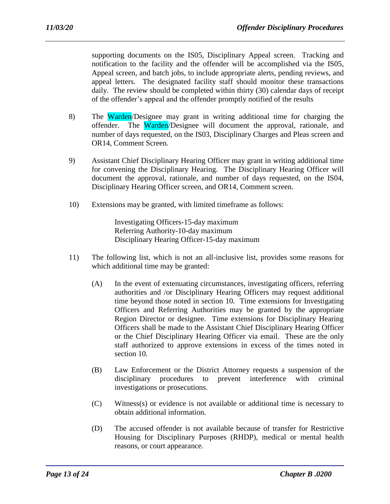supporting documents on the IS05, Disciplinary Appeal screen. Tracking and notification to the facility and the offender will be accomplished via the IS05, Appeal screen, and batch jobs, to include appropriate alerts, pending reviews, and appeal letters. The designated facility staff should monitor these transactions daily. The review should be completed within thirty (30) calendar days of receipt of the offender's appeal and the offender promptly notified of the results

- 8) The Warden/Designee may grant in writing additional time for charging the offender. The Warden/Designee will document the approval, rationale, and number of days requested, on the IS03, Disciplinary Charges and Pleas screen and OR14, Comment Screen.
- 9) Assistant Chief Disciplinary Hearing Officer may grant in writing additional time for convening the Disciplinary Hearing. The Disciplinary Hearing Officer will document the approval, rationale, and number of days requested, on the IS04, Disciplinary Hearing Officer screen, and OR14, Comment screen.
- 10) Extensions may be granted, with limited timeframe as follows:

Investigating Officers-15-day maximum Referring Authority-10-day maximum Disciplinary Hearing Officer-15-day maximum

- 11) The following list, which is not an all-inclusive list, provides some reasons for which additional time may be granted:
	- (A) In the event of extenuating circumstances, investigating officers, referring authorities and /or Disciplinary Hearing Officers may request additional time beyond those noted in section 10. Time extensions for Investigating Officers and Referring Authorities may be granted by the appropriate Region Director or designee. Time extensions for Disciplinary Hearing Officers shall be made to the Assistant Chief Disciplinary Hearing Officer or the Chief Disciplinary Hearing Officer via email. These are the only staff authorized to approve extensions in excess of the times noted in section 10.
	- (B) Law Enforcement or the District Attorney requests a suspension of the disciplinary procedures to prevent interference with criminal investigations or prosecutions.
	- (C) Witness(s) or evidence is not available or additional time is necessary to obtain additional information.
	- (D) The accused offender is not available because of transfer for Restrictive Housing for Disciplinary Purposes (RHDP), medical or mental health reasons, or court appearance.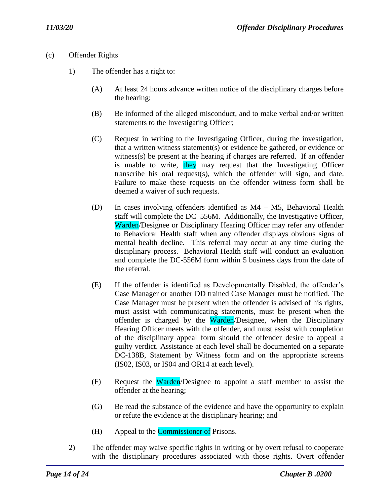### (c) Offender Rights

- 1) The offender has a right to:
	- (A) At least 24 hours advance written notice of the disciplinary charges before the hearing;
	- (B) Be informed of the alleged misconduct, and to make verbal and/or written statements to the Investigating Officer;
	- (C) Request in writing to the Investigating Officer, during the investigation, that a written witness statement(s) or evidence be gathered, or evidence or witness(s) be present at the hearing if charges are referred. If an offender is unable to write, they may request that the Investigating Officer transcribe his oral request(s), which the offender will sign, and date. Failure to make these requests on the offender witness form shall be deemed a waiver of such requests.
	- (D) In cases involving offenders identified as M4 M5, Behavioral Health staff will complete the DC–556M. Additionally, the Investigative Officer, Warden/Designee or Disciplinary Hearing Officer may refer any offender to Behavioral Health staff when any offender displays obvious signs of mental health decline. This referral may occur at any time during the disciplinary process. Behavioral Health staff will conduct an evaluation and complete the DC-556M form within 5 business days from the date of the referral.
	- (E) If the offender is identified as Developmentally Disabled, the offender's Case Manager or another DD trained Case Manager must be notified. The Case Manager must be present when the offender is advised of his rights, must assist with communicating statements, must be present when the offender is charged by the Warden/Designee, when the Disciplinary Hearing Officer meets with the offender, and must assist with completion of the disciplinary appeal form should the offender desire to appeal a guilty verdict. Assistance at each level shall be documented on a separate DC-138B, Statement by Witness form and on the appropriate screens (IS02, IS03, or IS04 and OR14 at each level).
	- (F) Request the Warden/Designee to appoint a staff member to assist the offender at the hearing;
	- (G) Be read the substance of the evidence and have the opportunity to explain or refute the evidence at the disciplinary hearing; and
	- (H) Appeal to the Commissioner of Prisons.
- 2) The offender may waive specific rights in writing or by overt refusal to cooperate with the disciplinary procedures associated with those rights. Overt offender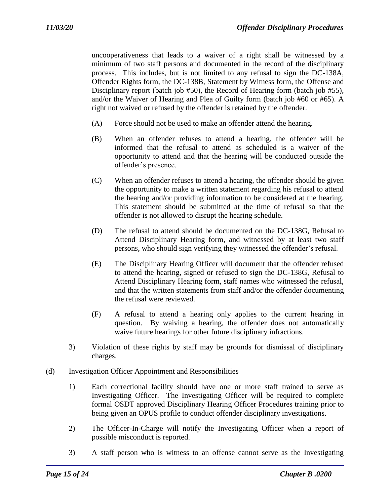uncooperativeness that leads to a waiver of a right shall be witnessed by a minimum of two staff persons and documented in the record of the disciplinary process. This includes, but is not limited to any refusal to sign the DC-138A, Offender Rights form, the DC-138B, Statement by Witness form, the Offense and Disciplinary report (batch job #50), the Record of Hearing form (batch job #55), and/or the Waiver of Hearing and Plea of Guilty form (batch job #60 or #65). A right not waived or refused by the offender is retained by the offender.

- (A) Force should not be used to make an offender attend the hearing.
- (B) When an offender refuses to attend a hearing, the offender will be informed that the refusal to attend as scheduled is a waiver of the opportunity to attend and that the hearing will be conducted outside the offender's presence.
- (C) When an offender refuses to attend a hearing, the offender should be given the opportunity to make a written statement regarding his refusal to attend the hearing and/or providing information to be considered at the hearing. This statement should be submitted at the time of refusal so that the offender is not allowed to disrupt the hearing schedule.
- (D) The refusal to attend should be documented on the DC-138G, Refusal to Attend Disciplinary Hearing form, and witnessed by at least two staff persons, who should sign verifying they witnessed the offender's refusal.
- (E) The Disciplinary Hearing Officer will document that the offender refused to attend the hearing, signed or refused to sign the DC-138G, Refusal to Attend Disciplinary Hearing form, staff names who witnessed the refusal, and that the written statements from staff and/or the offender documenting the refusal were reviewed.
- (F) A refusal to attend a hearing only applies to the current hearing in question. By waiving a hearing, the offender does not automatically waive future hearings for other future disciplinary infractions.
- 3) Violation of these rights by staff may be grounds for dismissal of disciplinary charges.
- (d) Investigation Officer Appointment and Responsibilities
	- 1) Each correctional facility should have one or more staff trained to serve as Investigating Officer. The Investigating Officer will be required to complete formal OSDT approved Disciplinary Hearing Officer Procedures training prior to being given an OPUS profile to conduct offender disciplinary investigations.
	- 2) The Officer-In-Charge will notify the Investigating Officer when a report of possible misconduct is reported.
	- 3) A staff person who is witness to an offense cannot serve as the Investigating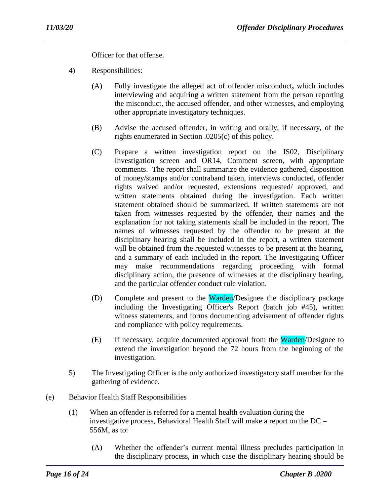Officer for that offense.

- 4) Responsibilities:
	- (A) Fully investigate the alleged act of offender misconduct**,** which includes interviewing and acquiring a written statement from the person reporting the misconduct, the accused offender, and other witnesses, and employing other appropriate investigatory techniques.
	- (B) Advise the accused offender, in writing and orally, if necessary, of the rights enumerated in Section .0205(c) of this policy.
	- (C) Prepare a written investigation report on the IS02, Disciplinary Investigation screen and OR14, Comment screen, with appropriate comments. The report shall summarize the evidence gathered, disposition of money/stamps and/or contraband taken, interviews conducted, offender rights waived and/or requested, extensions requested/ approved, and written statements obtained during the investigation. Each written statement obtained should be summarized. If written statements are not taken from witnesses requested by the offender, their names and the explanation for not taking statements shall be included in the report. The names of witnesses requested by the offender to be present at the disciplinary hearing shall be included in the report, a written statement will be obtained from the requested witnesses to be present at the hearing, and a summary of each included in the report. The Investigating Officer may make recommendations regarding proceeding with formal disciplinary action, the presence of witnesses at the disciplinary hearing, and the particular offender conduct rule violation.
	- (D) Complete and present to the Warden/Designee the disciplinary package including the Investigating Officer's Report (batch job #45), written witness statements, and forms documenting advisement of offender rights and compliance with policy requirements.
	- (E) If necessary, acquire documented approval from the Warden/Designee to extend the investigation beyond the 72 hours from the beginning of the investigation.
- 5) The Investigating Officer is the only authorized investigatory staff member for the gathering of evidence.
- (e) Behavior Health Staff Responsibilities
	- (1) When an offender is referred for a mental health evaluation during the investigative process, Behavioral Health Staff will make a report on the DC – 556M, as to:
		- (A) Whether the offender's current mental illness precludes participation in the disciplinary process, in which case the disciplinary hearing should be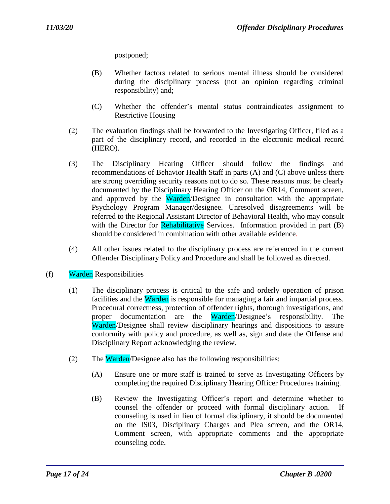postponed;

- (B) Whether factors related to serious mental illness should be considered during the disciplinary process (not an opinion regarding criminal responsibility) and;
- (C) Whether the offender's mental status contraindicates assignment to Restrictive Housing
- (2) The evaluation findings shall be forwarded to the Investigating Officer, filed as a part of the disciplinary record, and recorded in the electronic medical record (HERO).
- (3) The Disciplinary Hearing Officer should follow the findings and recommendations of Behavior Health Staff in parts (A) and (C) above unless there are strong overriding security reasons not to do so. These reasons must be clearly documented by the Disciplinary Hearing Officer on the OR14, Comment screen, and approved by the Warden/Designee in consultation with the appropriate Psychology Program Manager/designee. Unresolved disagreements will be referred to the Regional Assistant Director of Behavioral Health, who may consult with the Director for Rehabilitative Services. Information provided in part (B) should be considered in combination with other available evidence.
- (4) All other issues related to the disciplinary process are referenced in the current Offender Disciplinary Policy and Procedure and shall be followed as directed.
- (f) Warden Responsibilities
	- (1) The disciplinary process is critical to the safe and orderly operation of prison facilities and the Warden is responsible for managing a fair and impartial process. Procedural correctness, protection of offender rights, thorough investigations, and proper documentation are the Warden/Designee's responsibility. The Warden/Designee shall review disciplinary hearings and dispositions to assure conformity with policy and procedure, as well as, sign and date the Offense and Disciplinary Report acknowledging the review.
	- (2) The **Warden**/Designee also has the following responsibilities:
		- (A) Ensure one or more staff is trained to serve as Investigating Officers by completing the required Disciplinary Hearing Officer Procedures training.
		- (B) Review the Investigating Officer's report and determine whether to counsel the offender or proceed with formal disciplinary action. If counseling is used in lieu of formal disciplinary, it should be documented on the IS03, Disciplinary Charges and Plea screen, and the OR14, Comment screen, with appropriate comments and the appropriate counseling code.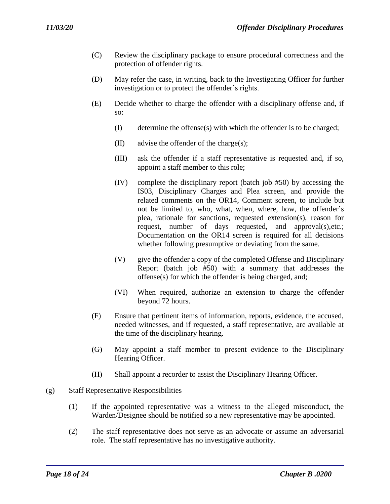- (C) Review the disciplinary package to ensure procedural correctness and the protection of offender rights.
- (D) May refer the case, in writing, back to the Investigating Officer for further investigation or to protect the offender's rights.
- (E) Decide whether to charge the offender with a disciplinary offense and, if so:
	- (I) determine the offense(s) with which the offender is to be charged;
	- (II) advise the offender of the charge(s);
	- (III) ask the offender if a staff representative is requested and, if so, appoint a staff member to this role;
	- (IV) complete the disciplinary report (batch job #50) by accessing the IS03, Disciplinary Charges and Plea screen, and provide the related comments on the OR14, Comment screen, to include but not be limited to, who, what, when, where, how, the offender's plea, rationale for sanctions, requested extension(s), reason for request, number of days requested, and approval(s),etc.; Documentation on the OR14 screen is required for all decisions whether following presumptive or deviating from the same.
	- (V) give the offender a copy of the completed Offense and Disciplinary Report (batch job #50) with a summary that addresses the offense(s) for which the offender is being charged, and;
	- (VI) When required, authorize an extension to charge the offender beyond 72 hours.
- (F) Ensure that pertinent items of information, reports, evidence, the accused, needed witnesses, and if requested, a staff representative, are available at the time of the disciplinary hearing.
- (G) May appoint a staff member to present evidence to the Disciplinary Hearing Officer.
- (H) Shall appoint a recorder to assist the Disciplinary Hearing Officer.
- (g) Staff Representative Responsibilities
	- (1) If the appointed representative was a witness to the alleged misconduct, the Warden/Designee should be notified so a new representative may be appointed.
	- (2) The staff representative does not serve as an advocate or assume an adversarial role. The staff representative has no investigative authority.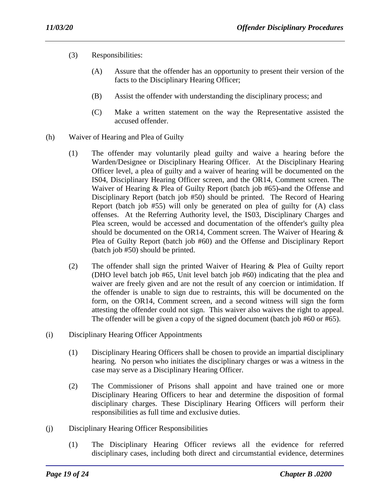- (3) Responsibilities:
	- (A) Assure that the offender has an opportunity to present their version of the facts to the Disciplinary Hearing Officer;
	- (B) Assist the offender with understanding the disciplinary process; and
	- (C) Make a written statement on the way the Representative assisted the accused offender.
- (h) Waiver of Hearing and Plea of Guilty
	- (1) The offender may voluntarily plead guilty and waive a hearing before the Warden/Designee or Disciplinary Hearing Officer. At the Disciplinary Hearing Officer level, a plea of guilty and a waiver of hearing will be documented on the IS04, Disciplinary Hearing Officer screen, and the OR14, Comment screen. The Waiver of Hearing & Plea of Guilty Report (batch job #65)-and the Offense and Disciplinary Report (batch job #50) should be printed. The Record of Hearing Report (batch job #55) will only be generated on plea of guilty for (A) class offenses. At the Referring Authority level, the IS03, Disciplinary Charges and Plea screen, would be accessed and documentation of the offender's guilty plea should be documented on the OR14, Comment screen. The Waiver of Hearing & Plea of Guilty Report (batch job #60) and the Offense and Disciplinary Report (batch job #50) should be printed.
	- (2) The offender shall sign the printed Waiver of Hearing & Plea of Guilty report (DHO level batch job #65, Unit level batch job #60) indicating that the plea and waiver are freely given and are not the result of any coercion or intimidation. If the offender is unable to sign due to restraints, this will be documented on the form, on the OR14, Comment screen, and a second witness will sign the form attesting the offender could not sign. This waiver also waives the right to appeal. The offender will be given a copy of the signed document (batch job #60 or #65).
- (i) Disciplinary Hearing Officer Appointments
	- (1) Disciplinary Hearing Officers shall be chosen to provide an impartial disciplinary hearing. No person who initiates the disciplinary charges or was a witness in the case may serve as a Disciplinary Hearing Officer.
	- (2) The Commissioner of Prisons shall appoint and have trained one or more Disciplinary Hearing Officers to hear and determine the disposition of formal disciplinary charges. These Disciplinary Hearing Officers will perform their responsibilities as full time and exclusive duties.
- (j) Disciplinary Hearing Officer Responsibilities
	- (1) The Disciplinary Hearing Officer reviews all the evidence for referred disciplinary cases, including both direct and circumstantial evidence, determines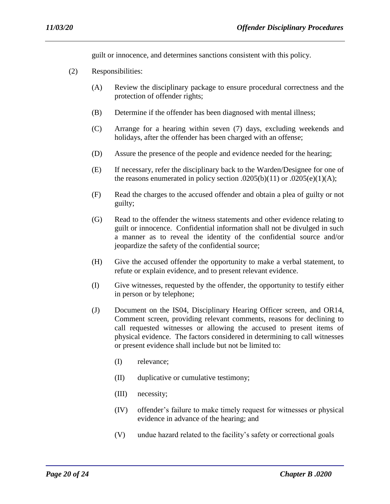guilt or innocence, and determines sanctions consistent with this policy.

- (2) Responsibilities:
	- (A) Review the disciplinary package to ensure procedural correctness and the protection of offender rights;
	- (B) Determine if the offender has been diagnosed with mental illness;
	- (C) Arrange for a hearing within seven (7) days, excluding weekends and holidays, after the offender has been charged with an offense;
	- (D) Assure the presence of the people and evidence needed for the hearing;
	- (E) If necessary, refer the disciplinary back to the Warden/Designee for one of the reasons enumerated in policy section .0205(b)(11) or .0205(e)(1)(A);
	- (F) Read the charges to the accused offender and obtain a plea of guilty or not guilty;
	- (G) Read to the offender the witness statements and other evidence relating to guilt or innocence. Confidential information shall not be divulged in such a manner as to reveal the identity of the confidential source and/or jeopardize the safety of the confidential source;
	- (H) Give the accused offender the opportunity to make a verbal statement, to refute or explain evidence, and to present relevant evidence.
	- (I) Give witnesses, requested by the offender, the opportunity to testify either in person or by telephone;
	- (J) Document on the IS04, Disciplinary Hearing Officer screen, and OR14, Comment screen, providing relevant comments, reasons for declining to call requested witnesses or allowing the accused to present items of physical evidence. The factors considered in determining to call witnesses or present evidence shall include but not be limited to:
		- (I) relevance;
		- (II) duplicative or cumulative testimony;
		- (III) necessity;
		- (IV) offender's failure to make timely request for witnesses or physical evidence in advance of the hearing; and
		- (V) undue hazard related to the facility's safety or correctional goals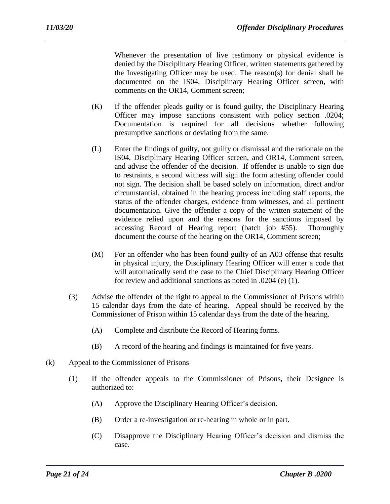Whenever the presentation of live testimony or physical evidence is denied by the Disciplinary Hearing Officer, written statements gathered by the Investigating Officer may be used. The reason(s) for denial shall be documented on the IS04, Disciplinary Hearing Officer screen, with comments on the OR14, Comment screen;

- (K) If the offender pleads guilty or is found guilty, the Disciplinary Hearing Officer may impose sanctions consistent with policy section .0204; Documentation is required for all decisions whether following presumptive sanctions or deviating from the same.
- (L) Enter the findings of guilty, not guilty or dismissal and the rationale on the IS04, Disciplinary Hearing Officer screen, and OR14, Comment screen, and advise the offender of the decision. If offender is unable to sign due to restraints, a second witness will sign the form attesting offender could not sign. The decision shall be based solely on information, direct and/or circumstantial, obtained in the hearing process including staff reports, the status of the offender charges, evidence from witnesses, and all pertinent documentation. Give the offender a copy of the written statement of the evidence relied upon and the reasons for the sanctions imposed by accessing Record of Hearing report (batch job #55). Thoroughly document the course of the hearing on the OR14, Comment screen;
- (M) For an offender who has been found guilty of an A03 offense that results in physical injury, the Disciplinary Hearing Officer will enter a code that will automatically send the case to the Chief Disciplinary Hearing Officer for review and additional sanctions as noted in .0204 (e) (1).
- (3) Advise the offender of the right to appeal to the Commissioner of Prisons within 15 calendar days from the date of hearing. Appeal should be received by the Commissioner of Prison within 15 calendar days from the date of the hearing.
	- (A) Complete and distribute the Record of Hearing forms.
	- (B) A record of the hearing and findings is maintained for five years.
- (k) Appeal to the Commissioner of Prisons
	- (1) If the offender appeals to the Commissioner of Prisons, their Designee is authorized to:
		- (A) Approve the Disciplinary Hearing Officer's decision.
		- (B) Order a re-investigation or re-hearing in whole or in part.
		- (C) Disapprove the Disciplinary Hearing Officer's decision and dismiss the case.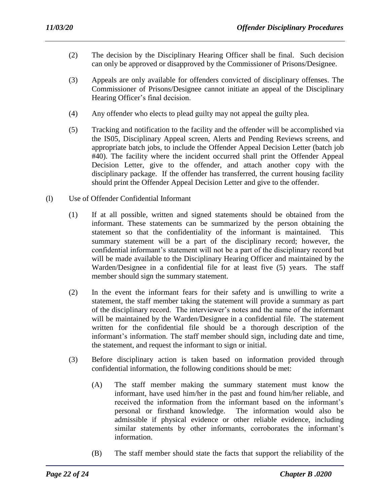- (2) The decision by the Disciplinary Hearing Officer shall be final. Such decision can only be approved or disapproved by the Commissioner of Prisons/Designee.
- (3) Appeals are only available for offenders convicted of disciplinary offenses. The Commissioner of Prisons/Designee cannot initiate an appeal of the Disciplinary Hearing Officer's final decision.
- (4) Any offender who elects to plead guilty may not appeal the guilty plea.
- (5) Tracking and notification to the facility and the offender will be accomplished via the IS05, Disciplinary Appeal screen, Alerts and Pending Reviews screens, and appropriate batch jobs, to include the Offender Appeal Decision Letter (batch job #40). The facility where the incident occurred shall print the Offender Appeal Decision Letter, give to the offender, and attach another copy with the disciplinary package. If the offender has transferred, the current housing facility should print the Offender Appeal Decision Letter and give to the offender.
- (l) Use of Offender Confidential Informant
	- (1) If at all possible, written and signed statements should be obtained from the informant. These statements can be summarized by the person obtaining the statement so that the confidentiality of the informant is maintained. This summary statement will be a part of the disciplinary record; however, the confidential informant's statement will not be a part of the disciplinary record but will be made available to the Disciplinary Hearing Officer and maintained by the Warden/Designee in a confidential file for at least five (5) years. The staff member should sign the summary statement.
	- (2) In the event the informant fears for their safety and is unwilling to write a statement, the staff member taking the statement will provide a summary as part of the disciplinary record. The interviewer's notes and the name of the informant will be maintained by the Warden/Designee in a confidential file. The statement written for the confidential file should be a thorough description of the informant's information. The staff member should sign, including date and time, the statement, and request the informant to sign or initial.
	- (3) Before disciplinary action is taken based on information provided through confidential information, the following conditions should be met:
		- (A) The staff member making the summary statement must know the informant, have used him/her in the past and found him/her reliable, and received the information from the informant based on the informant's personal or firsthand knowledge. The information would also be admissible if physical evidence or other reliable evidence, including similar statements by other informants, corroborates the informant's information.
		- (B) The staff member should state the facts that support the reliability of the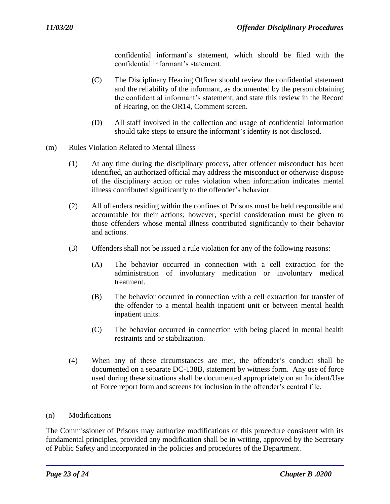confidential informant's statement, which should be filed with the confidential informant's statement.

- (C) The Disciplinary Hearing Officer should review the confidential statement and the reliability of the informant, as documented by the person obtaining the confidential informant's statement, and state this review in the Record of Hearing, on the OR14, Comment screen.
- (D) All staff involved in the collection and usage of confidential information should take steps to ensure the informant's identity is not disclosed.
- (m) Rules Violation Related to Mental Illness
	- (1) At any time during the disciplinary process, after offender misconduct has been identified, an authorized official may address the misconduct or otherwise dispose of the disciplinary action or rules violation when information indicates mental illness contributed significantly to the offender's behavior.
	- (2) All offenders residing within the confines of Prisons must be held responsible and accountable for their actions; however, special consideration must be given to those offenders whose mental illness contributed significantly to their behavior and actions.
	- (3) Offenders shall not be issued a rule violation for any of the following reasons:
		- (A) The behavior occurred in connection with a cell extraction for the administration of involuntary medication or involuntary medical treatment.
		- (B) The behavior occurred in connection with a cell extraction for transfer of the offender to a mental health inpatient unit or between mental health inpatient units.
		- (C) The behavior occurred in connection with being placed in mental health restraints and or stabilization.
	- (4) When any of these circumstances are met, the offender's conduct shall be documented on a separate DC-138B, statement by witness form. Any use of force used during these situations shall be documented appropriately on an Incident/Use of Force report form and screens for inclusion in the offender's central file.
- (n) Modifications

The Commissioner of Prisons may authorize modifications of this procedure consistent with its fundamental principles, provided any modification shall be in writing, approved by the Secretary of Public Safety and incorporated in the policies and procedures of the Department.